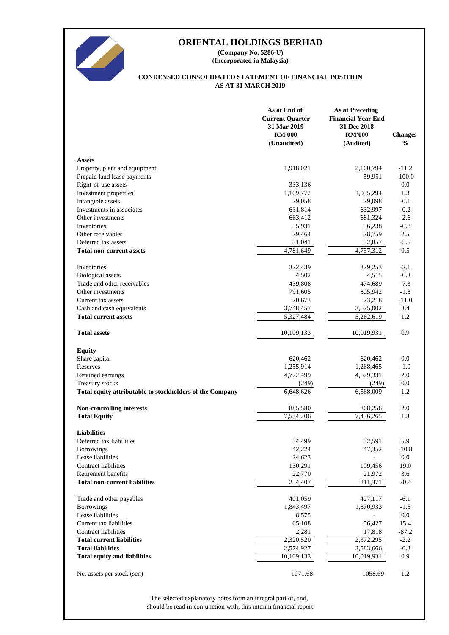

**(Incorporated in Malaysia) (Company No. 5286-U)**

#### **AS AT 31 MARCH 2019 CONDENSED CONSOLIDATED STATEMENT OF FINANCIAL POSITION**

|                                                          | As at End of<br><b>Current Quarter</b><br>31 Mar 2019<br><b>RM'000</b><br>(Unaudited) | <b>As at Preceding</b><br><b>Financial Year End</b><br>31 Dec 2018<br><b>RM'000</b><br>(Audited) | <b>Changes</b><br>$\%$ |
|----------------------------------------------------------|---------------------------------------------------------------------------------------|--------------------------------------------------------------------------------------------------|------------------------|
| <b>Assets</b>                                            |                                                                                       |                                                                                                  |                        |
| Property, plant and equipment                            | 1,918,021                                                                             | 2,160,794                                                                                        | $-11.2$                |
| Prepaid land lease payments                              |                                                                                       | 59,951                                                                                           | $-100.0$               |
| Right-of-use assets                                      | 333,136                                                                               |                                                                                                  | 0.0                    |
| Investment properties                                    | 1,109,772                                                                             | 1,095,294                                                                                        | 1.3                    |
| Intangible assets                                        | 29,058                                                                                | 29,098                                                                                           | $-0.1$                 |
| Investments in associates                                | 631,814                                                                               | 632,997                                                                                          | $-0.2$                 |
| Other investments                                        | 663,412                                                                               | 681,324                                                                                          | $-2.6$                 |
| Inventories                                              | 35,931                                                                                | 36,238                                                                                           | $-0.8$                 |
| Other receivables                                        | 29,464                                                                                | 28,759                                                                                           | 2.5                    |
| Deferred tax assets                                      | 31,041                                                                                | 32,857                                                                                           | $-5.5$                 |
| <b>Total non-current assets</b>                          | 4,781,649                                                                             | 4,757,312                                                                                        | 0.5                    |
| Inventories                                              | 322,439                                                                               | 329,253                                                                                          | $-2.1$                 |
| <b>Biological</b> assets                                 | 4,502                                                                                 | 4,515                                                                                            | $-0.3$                 |
| Trade and other receivables                              | 439,808                                                                               | 474,689                                                                                          | $-7.3$                 |
| Other investments                                        | 791,605                                                                               | 805,942                                                                                          | $-1.8$                 |
| Current tax assets                                       | 20,673                                                                                | 23,218                                                                                           | $-11.0$                |
| Cash and cash equivalents                                | 3,748,457                                                                             | 3,625,002                                                                                        | 3.4                    |
| <b>Total current assets</b>                              | 5,327,484                                                                             | 5,262,619                                                                                        | 1.2                    |
| <b>Total assets</b>                                      | 10,109,133                                                                            | 10,019,931                                                                                       | 0.9                    |
| <b>Equity</b>                                            |                                                                                       |                                                                                                  |                        |
| Share capital                                            | 620,462                                                                               | 620,462                                                                                          | 0.0                    |
| Reserves                                                 | 1,255,914                                                                             | 1,268,465                                                                                        | $-1.0$                 |
| Retained earnings                                        | 4,772,499                                                                             | 4,679,331                                                                                        | 2.0                    |
| Treasury stocks                                          | (249)                                                                                 | (249)                                                                                            | 0.0                    |
| Total equity attributable to stockholders of the Company | 6,648,626                                                                             | 6,568,009                                                                                        | 1.2                    |
| Non-controlling interests                                | 885,580                                                                               | 868,256                                                                                          | 2.0                    |
| <b>Total Equity</b>                                      | 7,534,206                                                                             | 7,436,265                                                                                        | 1.3                    |
| <b>Liabilities</b>                                       |                                                                                       |                                                                                                  |                        |
| Deferred tax liabilities                                 | 34.499                                                                                | 32,591                                                                                           | 5.9                    |
| <b>Borrowings</b>                                        | 42,224                                                                                | 47,352                                                                                           | $-10.8$                |
| Lease liabilities                                        | 24,623                                                                                |                                                                                                  | 0.0                    |
| <b>Contract liabilities</b>                              | 130,291                                                                               | 109,456                                                                                          | 19.0                   |
| Retirement benefits                                      | 22,770                                                                                | 21,972                                                                                           | 3.6                    |
| <b>Total non-current liabilities</b>                     | 254,407                                                                               | 211,371                                                                                          | 20.4                   |
| Trade and other payables                                 | 401,059                                                                               | 427,117                                                                                          | $-6.1$                 |
| <b>Borrowings</b>                                        | 1,843,497                                                                             | 1,870,933                                                                                        | $-1.5$                 |
| Lease liabilities                                        | 8,575                                                                                 |                                                                                                  | 0.0                    |
| Current tax liabilities                                  | 65,108                                                                                | 56,427                                                                                           | 15.4                   |
| <b>Contract liabilities</b>                              | 2,281                                                                                 | 17,818                                                                                           | $-87.2$                |
| <b>Total current liabilities</b>                         | 2,320,520                                                                             | 2,372,295                                                                                        | $-2.2$                 |
| <b>Total liabilities</b>                                 | 2,574,927                                                                             | 2,583,666                                                                                        | $-0.3$                 |
| <b>Total equity and liabilities</b>                      | 10,109,133                                                                            | 10,019,931                                                                                       | 0.9                    |
| Net assets per stock (sen)                               | 1071.68                                                                               | 1058.69                                                                                          | 1.2                    |

should be read in conjunction with, this interim financial report. The selected explanatory notes form an integral part of, and,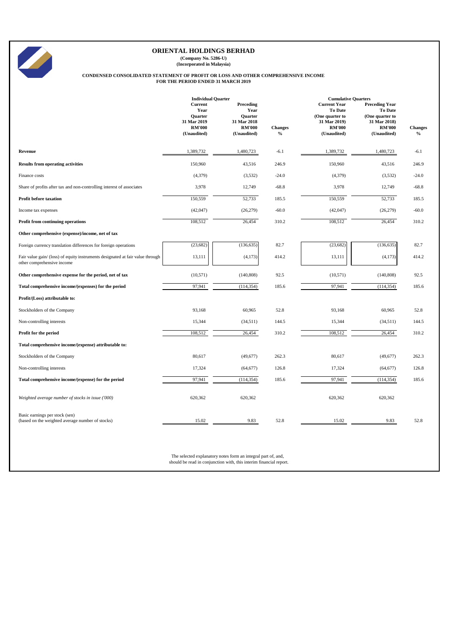**(Company No. 5286-U) (Incorporated in Malaysia)**

# **CONDENSED CONSOLIDATED STATEMENT OF PROFIT OR LOSS AND OTHER COMPREHENSIVE INCOME FOR THE PERIOD ENDED 31 MARCH 2019**

|                                                                                                              | <b>Individual Quarter</b>                                                        |                                                                                    |                                 | <b>Cumulative Quarters</b>                                                                               |                                                                                                     |                        |
|--------------------------------------------------------------------------------------------------------------|----------------------------------------------------------------------------------|------------------------------------------------------------------------------------|---------------------------------|----------------------------------------------------------------------------------------------------------|-----------------------------------------------------------------------------------------------------|------------------------|
|                                                                                                              | Current<br>Year<br><b>Ouarter</b><br>31 Mar 2019<br><b>RM'000</b><br>(Unaudited) | Preceding<br>Year<br><b>Ouarter</b><br>31 Mar 2018<br><b>RM'000</b><br>(Unaudited) | <b>Changes</b><br>$\frac{0}{0}$ | <b>Current Year</b><br><b>To Date</b><br>(One quarter to<br>31 Mar 2019)<br><b>RM'000</b><br>(Unaudited) | <b>Preceding Year</b><br>To Date<br>(One quarter to<br>31 Mar 2018)<br><b>RM'000</b><br>(Unaudited) | <b>Changes</b><br>$\%$ |
| Revenue                                                                                                      | 1,389,732                                                                        | 1,480,723                                                                          | $-6.1$                          | 1,389,732                                                                                                | 1,480,723                                                                                           | $-6.1$                 |
| <b>Results from operating activities</b>                                                                     | 150,960                                                                          | 43,516                                                                             | 246.9                           | 150,960                                                                                                  | 43,516                                                                                              | 246.9                  |
| Finance costs                                                                                                | (4,379)                                                                          | (3,532)                                                                            | $-24.0$                         | (4,379)                                                                                                  | (3,532)                                                                                             | $-24.0$                |
| Share of profits after tax and non-controlling interest of associates                                        | 3,978                                                                            | 12,749                                                                             | $-68.8$                         | 3,978                                                                                                    | 12,749                                                                                              | $-68.8$                |
| <b>Profit before taxation</b>                                                                                | 150,559                                                                          | 52,733                                                                             | 185.5                           | 150,559                                                                                                  | 52,733                                                                                              | 185.5                  |
| Income tax expenses                                                                                          | (42, 047)                                                                        | (26, 279)                                                                          | $-60.0$                         | (42,047)                                                                                                 | (26,279)                                                                                            | $-60.0$                |
| Profit from continuing operations                                                                            | 108,512                                                                          | 26,454                                                                             | 310.2                           | 108,512                                                                                                  | 26,454                                                                                              | 310.2                  |
| Other comprehensive (expense)/income, net of tax                                                             |                                                                                  |                                                                                    |                                 |                                                                                                          |                                                                                                     |                        |
| Foreign currency translation differences for foreign operations                                              | (23, 682)                                                                        | (136, 635)                                                                         | 82.7                            | (23, 682)                                                                                                | (136, 635)                                                                                          | 82.7                   |
| Fair value gain/ (loss) of equity instruments designated at fair value through<br>other comprehensive income | 13,111                                                                           | (4,173)                                                                            | 414.2                           | 13,111                                                                                                   | (4,173)                                                                                             | 414.2                  |
| Other comprehensive expense for the period, net of tax                                                       | (10, 571)                                                                        | (140, 808)                                                                         | 92.5                            | (10, 571)                                                                                                | (140, 808)                                                                                          | 92.5                   |
| Total comprehensive income/(expenses) for the period                                                         | 97,941                                                                           | (114, 354)                                                                         | 185.6                           | 97,941                                                                                                   | (114, 354)                                                                                          | 185.6                  |
| Profit/(Loss) attributable to:                                                                               |                                                                                  |                                                                                    |                                 |                                                                                                          |                                                                                                     |                        |
| Stockholders of the Company                                                                                  | 93,168                                                                           | 60,965                                                                             | 52.8                            | 93,168                                                                                                   | 60,965                                                                                              | 52.8                   |
| Non-controlling interests                                                                                    | 15,344                                                                           | (34,511)                                                                           | 144.5                           | 15,344                                                                                                   | (34,511)                                                                                            | 144.5                  |
| Profit for the period                                                                                        | 108,512                                                                          | 26,454                                                                             | 310.2                           | 108,512                                                                                                  | 26,454                                                                                              | 310.2                  |
| Total comprehensive income/(expense) attributable to:                                                        |                                                                                  |                                                                                    |                                 |                                                                                                          |                                                                                                     |                        |
| Stockholders of the Company                                                                                  | 80,617                                                                           | (49,677)                                                                           | 262.3                           | 80,617                                                                                                   | (49,677)                                                                                            | 262.3                  |
| Non-controlling interests                                                                                    | 17,324                                                                           | (64, 677)                                                                          | 126.8                           | 17,324                                                                                                   | (64, 677)                                                                                           | 126.8                  |
| Total comprehensive income/(expense) for the period                                                          | 97,941                                                                           | (114, 354)                                                                         | 185.6                           | 97,941                                                                                                   | (114, 354)                                                                                          | 185.6                  |
| Weighted average number of stocks in issue ('000)                                                            | 620,362                                                                          | 620,362                                                                            |                                 | 620,362                                                                                                  | 620,362                                                                                             |                        |
| Basic earnings per stock (sen)<br>(based on the weighted average number of stocks)                           | 15.02                                                                            | 9.83                                                                               | 52.8                            | 15.02                                                                                                    | 9.83                                                                                                | 52.8                   |

The selected explanatory notes form an integral part of, and, should be read in conjunction with, this interim financial report.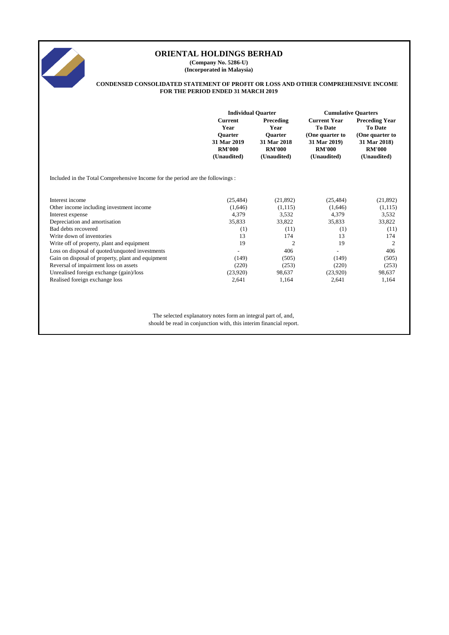

**(Company No. 5286-U) (Incorporated in Malaysia)**

#### **CONDENSED CONSOLIDATED STATEMENT OF PROFIT OR LOSS AND OTHER COMPREHENSIVE INCOME FOR THE PERIOD ENDED 31 MARCH 2019**

|                                                                               | <b>Individual Quarter</b>    |                              | <b>Cumulative Quarters</b>            |                                         |  |
|-------------------------------------------------------------------------------|------------------------------|------------------------------|---------------------------------------|-----------------------------------------|--|
|                                                                               | <b>Current</b><br>Year       | Preceding<br>Year            | <b>Current Year</b><br><b>To Date</b> | <b>Preceding Year</b><br><b>To Date</b> |  |
|                                                                               | <b>Ouarter</b>               | <b>Ouarter</b>               | (One quarter to                       | (One quarter to                         |  |
|                                                                               | 31 Mar 2019<br><b>RM'000</b> | 31 Mar 2018<br><b>RM'000</b> | 31 Mar 2019)<br><b>RM'000</b>         | 31 Mar 2018)<br><b>RM'000</b>           |  |
|                                                                               | (Unaudited)                  | (Unaudited)                  | (Unaudited)                           | (Unaudited)                             |  |
| Included in the Total Comprehensive Income for the period are the followings: |                              |                              |                                       |                                         |  |
| Interest income                                                               | (25, 484)                    | (21, 892)                    | (25, 484)                             | (21,892)                                |  |
| Other income including investment income                                      | (1,646)                      | (1, 115)                     | (1,646)                               | (1, 115)                                |  |
| Interest expense                                                              | 4,379                        | 3,532                        | 4,379                                 | 3,532                                   |  |
| Depreciation and amortisation                                                 | 35,833                       | 33,822                       | 35,833                                | 33,822                                  |  |
| Bad debts recovered                                                           | (1)                          | (11)                         | (1)                                   | (11)                                    |  |
| Write down of inventories                                                     | 13                           | 174                          | 13                                    | 174                                     |  |
| Write off of property, plant and equipment                                    | 19                           | $\overline{c}$               | 19                                    | 2                                       |  |
| Loss on disposal of quoted/unquoted investments                               |                              | 406                          |                                       | 406                                     |  |
| Gain on disposal of property, plant and equipment                             | (149)                        | (505)                        | (149)                                 | (505)                                   |  |
| Reversal of impairment loss on assets                                         | (220)                        | (253)                        | (220)                                 | (253)                                   |  |
| Unrealised foreign exchange (gain)/loss                                       | (23,920)                     | 98,637                       | (23,920)                              | 98,637                                  |  |
| Realised foreign exchange loss                                                | 2,641                        | 1,164                        | 2,641                                 | 1,164                                   |  |
|                                                                               |                              |                              |                                       |                                         |  |
|                                                                               |                              |                              |                                       |                                         |  |
|                                                                               |                              |                              |                                       |                                         |  |
|                                                                               |                              |                              |                                       |                                         |  |

The selected explanatory notes form an integral part of, and, should be read in conjunction with, this interim financial report.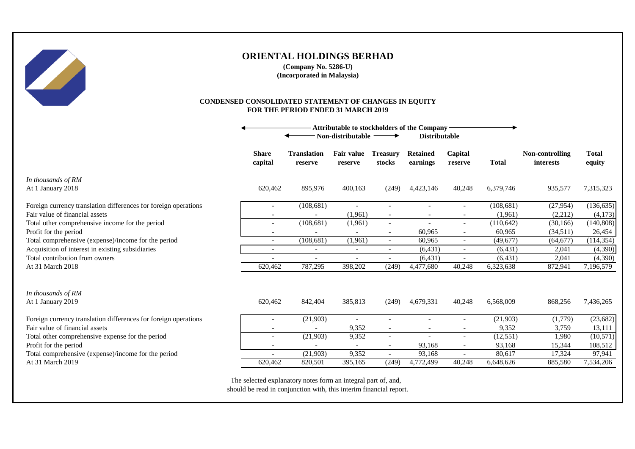

#### **CONDENSED CONSOLIDATED STATEMENT OF CHANGES IN EQUITY FOR THE PERIOD ENDED 31 MARCH 2019**

|                                                                 |                          | Attributable to stockholders of the Company -<br>Non-distributable ·<br><b>Distributable</b> |                              |                           |                             |                          |              |                              |                        |
|-----------------------------------------------------------------|--------------------------|----------------------------------------------------------------------------------------------|------------------------------|---------------------------|-----------------------------|--------------------------|--------------|------------------------------|------------------------|
|                                                                 | <b>Share</b><br>capital  | <b>Translation</b><br>reserve                                                                | <b>Fair value</b><br>reserve | <b>Treasury</b><br>stocks | <b>Retained</b><br>earnings | Capital<br>reserve       | <b>Total</b> | Non-controlling<br>interests | <b>Total</b><br>equity |
| In thousands of RM<br>At 1 January 2018                         | 620,462                  | 895,976                                                                                      | 400,163                      | (249)                     | 4,423,146                   | 40,248                   | 6,379,746    | 935,577                      | 7,315,323              |
| Foreign currency translation differences for foreign operations |                          | (108, 681)                                                                                   | $\overline{\phantom{a}}$     |                           |                             | $\qquad \qquad -$        | (108, 681)   | (27,954)                     | (136, 635)             |
| Fair value of financial assets                                  |                          |                                                                                              | (1,961)                      |                           |                             |                          | (1,961)      | (2,212)                      | (4,173)                |
| Total other comprehensive income for the period                 | $\overline{\phantom{a}}$ | (108, 681)                                                                                   | (1,961)                      | $\overline{\phantom{a}}$  |                             | $\overline{\phantom{a}}$ | (110, 642)   | (30, 166)                    | (140, 808)             |
| Profit for the period                                           |                          |                                                                                              |                              | $\overline{\phantom{a}}$  | 60,965                      | $\overline{\phantom{a}}$ | 60,965       | (34,511)                     | 26,454                 |
| Total comprehensive (expense)/income for the period             | $\overline{\phantom{a}}$ | (108, 681)                                                                                   | (1,961)                      | $\sim$                    | 60,965                      | $\overline{\phantom{a}}$ | (49, 677)    | (64, 677)                    | (114, 354)             |
| Acquisition of interest in existing subsidiaries                | $\overline{\phantom{a}}$ |                                                                                              | $\overline{\phantom{a}}$     | $\overline{\phantom{a}}$  | (6, 431)                    | $\overline{\phantom{a}}$ | (6, 431)     | 2,041                        | (4,390)                |
| Total contribution from owners                                  |                          | $\overline{\phantom{a}}$                                                                     | $\overline{\phantom{a}}$     | $\overline{\phantom{a}}$  | (6, 431)                    | $\overline{\phantom{a}}$ | (6, 431)     | 2,041                        | (4,390)                |
| At 31 March 2018                                                | 620,462                  | 787,295                                                                                      | 398,202                      | (249)                     | 4,477,680                   | 40,248                   | 6,323,638    | 872,941                      | 7,196,579              |
| In thousands of RM<br>At 1 January 2019                         | 620,462                  | 842,404                                                                                      | 385,813                      | (249)                     | 4,679,331                   | 40,248                   | 6,568,009    | 868,256                      | 7,436,265              |
| Foreign currency translation differences for foreign operations |                          | (21,903)                                                                                     | $\overline{\phantom{a}}$     |                           |                             |                          | (21,903)     | (1,779)                      | (23, 682)              |
| Fair value of financial assets                                  |                          |                                                                                              | 9,352                        | $\blacksquare$            |                             | $\overline{\phantom{a}}$ | 9,352        | 3,759                        | 13,111                 |
| Total other comprehensive expense for the period                | $\overline{\phantom{a}}$ | (21,903)                                                                                     | 9,352                        | $\overline{\phantom{a}}$  |                             | $\qquad \qquad -$        | (12, 551)    | 1,980                        | (10, 571)              |
| Profit for the period                                           | $\overline{\phantom{a}}$ |                                                                                              | $\overline{\phantom{a}}$     | $\sim$                    | 93,168                      | $\overline{\phantom{a}}$ | 93,168       | 15,344                       | 108,512                |
| Total comprehensive (expense)/income for the period             |                          | (21,903)                                                                                     | 9,352                        | $\overline{\phantom{0}}$  | 93,168                      | $\qquad \qquad -$        | 80,617       | 17,324                       | 97,941                 |
| At 31 March 2019                                                | 620,462                  | 820,501                                                                                      | 395.165                      | (249)                     | 4,772,499                   | 40,248                   | 6,648,626    | 885,580                      | 7,534,206              |

The selected explanatory notes form an integral part of, and, should be read in conjunction with, this interim financial report.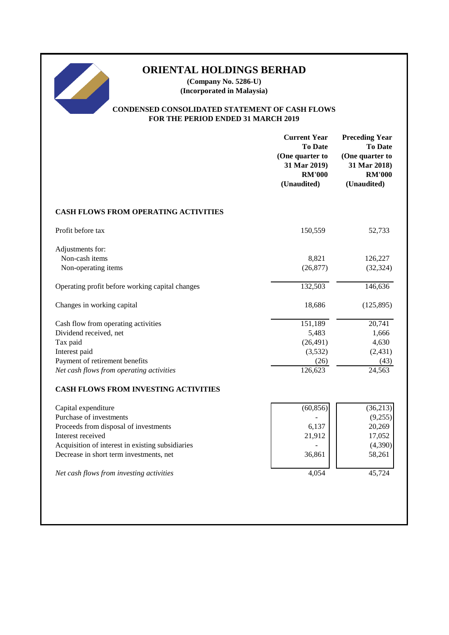**(Company No. 5286-U) (Incorporated in Malaysia)**

## **CONDENSED CONSOLIDATED STATEMENT OF CASH FLOWS FOR THE PERIOD ENDED 31 MARCH 2019**

|                                                  | <b>Current Year</b><br><b>To Date</b><br>(One quarter to<br>31 Mar 2019)<br><b>RM'000</b><br>(Unaudited) | <b>Preceding Year</b><br><b>To Date</b><br>(One quarter to<br>31 Mar 2018)<br><b>RM'000</b><br>(Unaudited) |
|--------------------------------------------------|----------------------------------------------------------------------------------------------------------|------------------------------------------------------------------------------------------------------------|
| CASH FLOWS FROM OPERATING ACTIVITIES             |                                                                                                          |                                                                                                            |
| Profit before tax                                | 150,559                                                                                                  | 52,733                                                                                                     |
| Adjustments for:                                 |                                                                                                          |                                                                                                            |
| Non-cash items<br>Non-operating items            | 8,821<br>(26, 877)                                                                                       | 126,227<br>(32, 324)                                                                                       |
|                                                  |                                                                                                          |                                                                                                            |
| Operating profit before working capital changes  | 132,503                                                                                                  | 146,636                                                                                                    |
| Changes in working capital                       | 18,686                                                                                                   | (125, 895)                                                                                                 |
| Cash flow from operating activities              | 151,189                                                                                                  | 20,741                                                                                                     |
| Dividend received, net                           | 5,483                                                                                                    | 1,666                                                                                                      |
| Tax paid                                         | (26, 491)                                                                                                | 4,630                                                                                                      |
| Interest paid                                    | (3,532)                                                                                                  | (2, 431)                                                                                                   |
| Payment of retirement benefits                   | (26)                                                                                                     | (43)                                                                                                       |
| Net cash flows from operating activities         | 126,623                                                                                                  | 24,563                                                                                                     |
| <b>CASH FLOWS FROM INVESTING ACTIVITIES</b>      |                                                                                                          |                                                                                                            |
| Capital expenditure                              | (60, 856)                                                                                                | (36,213)                                                                                                   |
| Purchase of investments                          |                                                                                                          | (9,255)                                                                                                    |
| Proceeds from disposal of investments            | 6,137                                                                                                    | 20,269                                                                                                     |
| Interest received                                | 21,912                                                                                                   | 17,052                                                                                                     |
| Acquisition of interest in existing subsidiaries |                                                                                                          | (4,390)                                                                                                    |
| Decrease in short term investments, net          | 36,861                                                                                                   | 58,261                                                                                                     |
| Net cash flows from investing activities         | 4,054                                                                                                    | 45,724                                                                                                     |
|                                                  |                                                                                                          |                                                                                                            |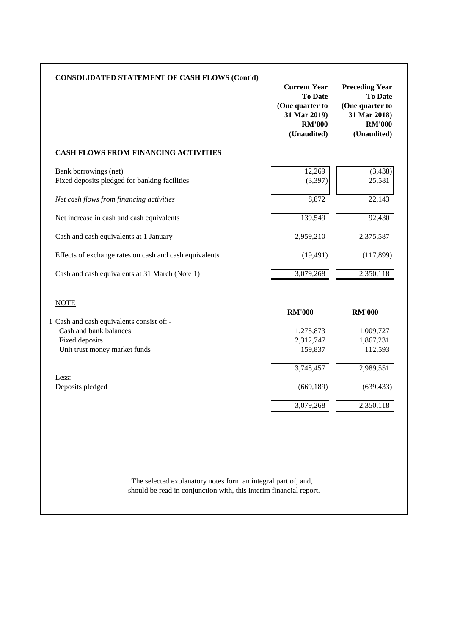| <b>CONSOLIDATED STATEMENT OF CASH FLOWS (Cont'd)</b>                   | <b>Current Year</b><br><b>To Date</b><br>(One quarter to<br>31 Mar 2019)<br><b>RM'000</b><br>(Unaudited) | <b>Preceding Year</b><br><b>To Date</b><br>(One quarter to<br>31 Mar 2018)<br><b>RM'000</b><br>(Unaudited) |
|------------------------------------------------------------------------|----------------------------------------------------------------------------------------------------------|------------------------------------------------------------------------------------------------------------|
| CASH FLOWS FROM FINANCING ACTIVITIES                                   |                                                                                                          |                                                                                                            |
| Bank borrowings (net)<br>Fixed deposits pledged for banking facilities | 12,269<br>(3, 397)                                                                                       | (3, 438)<br>25,581                                                                                         |
| Net cash flows from financing activities                               | 8,872                                                                                                    | 22,143                                                                                                     |
| Net increase in cash and cash equivalents                              | 139,549                                                                                                  | 92,430                                                                                                     |
| Cash and cash equivalents at 1 January                                 | 2,959,210                                                                                                | 2,375,587                                                                                                  |
| Effects of exchange rates on cash and cash equivalents                 | (19, 491)                                                                                                | (117, 899)                                                                                                 |
| Cash and cash equivalents at 31 March (Note 1)                         | 3,079,268                                                                                                | 2,350,118                                                                                                  |
| <b>NOTE</b>                                                            | <b>RM'000</b>                                                                                            | <b>RM'000</b>                                                                                              |
| 1 Cash and cash equivalents consist of: -<br>Cash and bank balances    | 1,275,873                                                                                                | 1,009,727                                                                                                  |
| Fixed deposits                                                         | 2,312,747                                                                                                | 1,867,231                                                                                                  |
| Unit trust money market funds                                          | 159,837                                                                                                  | 112,593                                                                                                    |
| Less:                                                                  | $\overline{3,}748,457$                                                                                   | 2,989,551                                                                                                  |
| Deposits pledged                                                       | (669, 189)                                                                                               | (639, 433)                                                                                                 |
|                                                                        | 3,079,268                                                                                                | 2,350,118                                                                                                  |

should be read in conjunction with, this interim financial report. The selected explanatory notes form an integral part of, and,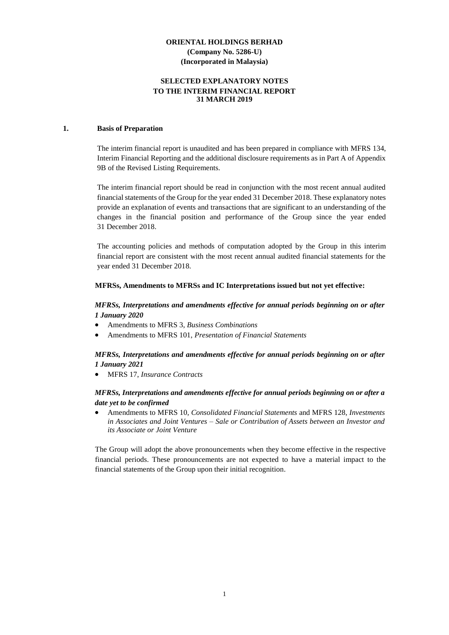## **SELECTED EXPLANATORY NOTES TO THE INTERIM FINANCIAL REPORT 31 MARCH 2019**

#### **1. Basis of Preparation**

The interim financial report is unaudited and has been prepared in compliance with MFRS 134, Interim Financial Reporting and the additional disclosure requirements as in Part A of Appendix 9B of the Revised Listing Requirements.

The interim financial report should be read in conjunction with the most recent annual audited financial statements of the Group for the year ended 31 December 2018. These explanatory notes provide an explanation of events and transactions that are significant to an understanding of the changes in the financial position and performance of the Group since the year ended 31 December 2018.

The accounting policies and methods of computation adopted by the Group in this interim financial report are consistent with the most recent annual audited financial statements for the year ended 31 December 2018.

#### **MFRSs, Amendments to MFRSs and IC Interpretations issued but not yet effective:**

## *MFRSs, Interpretations and amendments effective for annual periods beginning on or after 1 January 2020*

- Amendments to MFRS 3, *Business Combinations*
- Amendments to MFRS 101, *Presentation of Financial Statements*

## *MFRSs, Interpretations and amendments effective for annual periods beginning on or after 1 January 2021*

• MFRS 17, *Insurance Contracts*

## *MFRSs, Interpretations and amendments effective for annual periods beginning on or after a date yet to be confirmed*

• Amendments to MFRS 10, *Consolidated Financial Statements* and MFRS 128, *Investments in Associates and Joint Ventures – Sale or Contribution of Assets between an Investor and its Associate or Joint Venture*

The Group will adopt the above pronouncements when they become effective in the respective financial periods. These pronouncements are not expected to have a material impact to the financial statements of the Group upon their initial recognition.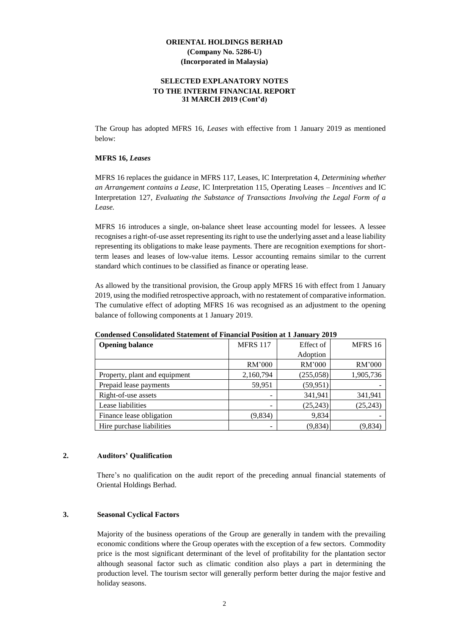#### **SELECTED EXPLANATORY NOTES TO THE INTERIM FINANCIAL REPORT 31 MARCH 2019 (Cont'd)**

The Group has adopted MFRS 16, *Leases* with effective from 1 January 2019 as mentioned below:

#### **MFRS 16,** *Leases*

MFRS 16 replaces the guidance in MFRS 117, Leases, IC Interpretation 4, *Determining whether an Arrangement contains a Lease*, IC Interpretation 115, Operating Leases *– Incentives* and IC Interpretation 127*, Evaluating the Substance of Transactions Involving the Legal Form of a Lease.*

MFRS 16 introduces a single, on-balance sheet lease accounting model for lessees. A lessee recognises a right-of-use asset representing its right to use the underlying asset and a lease liability representing its obligations to make lease payments. There are recognition exemptions for shortterm leases and leases of low-value items. Lessor accounting remains similar to the current standard which continues to be classified as finance or operating lease.

As allowed by the transitional provision, the Group apply MFRS 16 with effect from 1 January 2019, using the modified retrospective approach, with no restatement of comparative information. The cumulative effect of adopting MFRS 16 was recognised as an adjustment to the opening balance of following components at 1 January 2019.

| <b>Opening balance</b>        | <b>MFRS 117</b> | Effect of | MFRS 16   |
|-------------------------------|-----------------|-----------|-----------|
|                               |                 | Adoption  |           |
|                               | RM'000          | RM'000    | RM'000    |
| Property, plant and equipment | 2,160,794       | (255,058) | 1,905,736 |
| Prepaid lease payments        | 59,951          | (59, 951) |           |
| Right-of-use assets           |                 | 341,941   | 341,941   |
| Lease liabilities             |                 | (25, 243) | (25, 243) |
| Finance lease obligation      | (9,834)         | 9,834     |           |
| Hire purchase liabilities     |                 | (9,834)   | (9,834)   |

**Condensed Consolidated Statement of Financial Position at 1 January 2019**

#### **2. Auditors' Qualification**

There's no qualification on the audit report of the preceding annual financial statements of Oriental Holdings Berhad.

#### **3. Seasonal Cyclical Factors**

Majority of the business operations of the Group are generally in tandem with the prevailing economic conditions where the Group operates with the exception of a few sectors. Commodity price is the most significant determinant of the level of profitability for the plantation sector although seasonal factor such as climatic condition also plays a part in determining the production level. The tourism sector will generally perform better during the major festive and holiday seasons.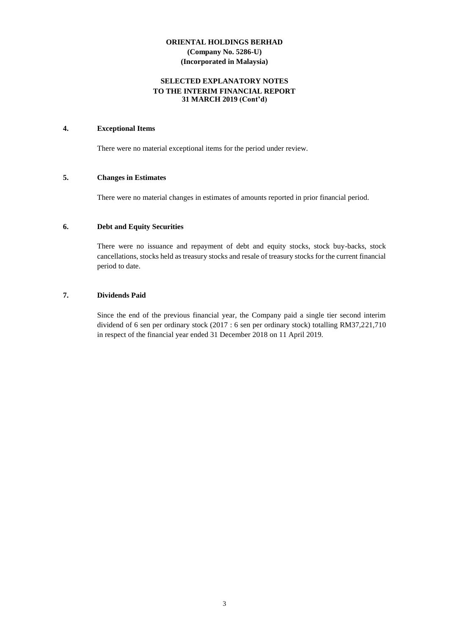### **SELECTED EXPLANATORY NOTES TO THE INTERIM FINANCIAL REPORT 31 MARCH 2019 (Cont'd)**

## **4. Exceptional Items**

There were no material exceptional items for the period under review.

#### **5. Changes in Estimates**

There were no material changes in estimates of amounts reported in prior financial period.

## **6. Debt and Equity Securities**

There were no issuance and repayment of debt and equity stocks, stock buy-backs, stock cancellations, stocks held as treasury stocks and resale of treasury stocks for the current financial period to date.

## **7. Dividends Paid**

Since the end of the previous financial year, the Company paid a single tier second interim dividend of 6 sen per ordinary stock (2017 : 6 sen per ordinary stock) totalling RM37,221,710 in respect of the financial year ended 31 December 2018 on 11 April 2019.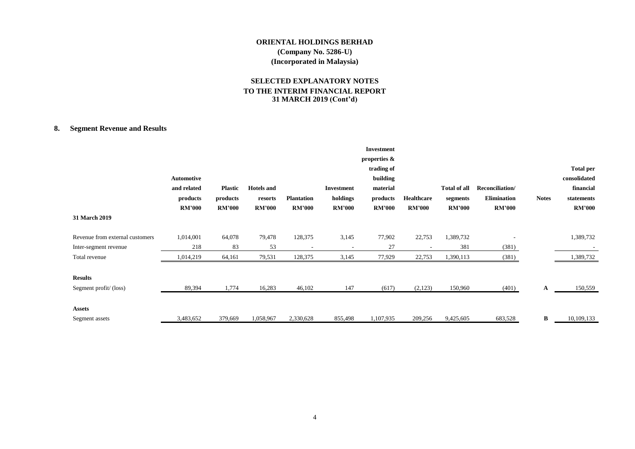# **SELECTED EXPLANATORY NOTES TO THE INTERIM FINANCIAL REPORT 31 MARCH 2019 (Cont'd)**

# **8. Segment Revenue and Results**

|                                 |                   |                |                   |                   |                          | <b>Investment</b> |               |                     |                    |              |                  |
|---------------------------------|-------------------|----------------|-------------------|-------------------|--------------------------|-------------------|---------------|---------------------|--------------------|--------------|------------------|
|                                 |                   |                |                   |                   |                          | properties &      |               |                     |                    |              |                  |
|                                 |                   |                |                   |                   |                          | trading of        |               |                     |                    |              | <b>Total per</b> |
|                                 | <b>Automotive</b> |                |                   |                   |                          | building          |               |                     |                    |              | consolidated     |
|                                 | and related       | <b>Plastic</b> | <b>Hotels</b> and |                   | <b>Investment</b>        | material          |               | <b>Total of all</b> | Reconciliation/    |              | financial        |
|                                 | products          | products       | resorts           | <b>Plantation</b> | holdings                 | products          | Healthcare    | segments            | <b>Elimination</b> | <b>Notes</b> | statements       |
|                                 | <b>RM'000</b>     | <b>RM'000</b>  | <b>RM'000</b>     | <b>RM'000</b>     | <b>RM'000</b>            | <b>RM'000</b>     | <b>RM'000</b> | <b>RM'000</b>       | <b>RM'000</b>      |              | <b>RM'000</b>    |
| 31 March 2019                   |                   |                |                   |                   |                          |                   |               |                     |                    |              |                  |
| Revenue from external customers | 1,014,001         | 64,078         | 79,478            | 128,375           | 3,145                    | 77,902            | 22,753        | 1,389,732           |                    |              | 1,389,732        |
| Inter-segment revenue           | 218               | 83             | 53                | ٠                 | $\overline{\phantom{a}}$ | 27                |               | 381                 | (381)              |              |                  |
| Total revenue                   | 1,014,219         | 64,161         | 79,531            | 128,375           | 3,145                    | 77,929            | 22,753        | 1,390,113           | (381)              |              | 1,389,732        |
|                                 |                   |                |                   |                   |                          |                   |               |                     |                    |              |                  |
| <b>Results</b>                  |                   |                |                   |                   |                          |                   |               |                     |                    |              |                  |
| Segment profit/(loss)           | 89,394            | 1,774          | 16,283            | 46,102            | 147                      | (617)             | (2,123)       | 150,960             | (401)              | A            | 150,559          |
|                                 |                   |                |                   |                   |                          |                   |               |                     |                    |              |                  |
| <b>Assets</b>                   |                   |                |                   |                   |                          |                   |               |                     |                    |              |                  |
| Segment assets                  | 3,483,652         | 379,669        | 1,058,967         | 2,330,628         | 855,498                  | 1,107,935         | 209,256       | 9,425,605           | 683,528            | B            | 10,109,133       |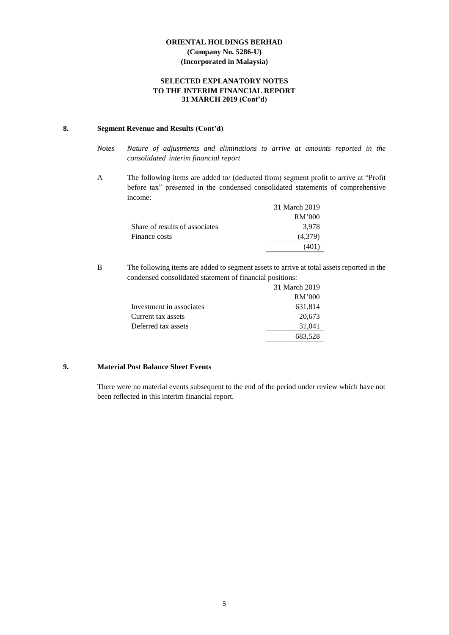## **SELECTED EXPLANATORY NOTES TO THE INTERIM FINANCIAL REPORT 31 MARCH 2019 (Cont'd)**

## **8. Segment Revenue and Results (Cont'd)**

- *Notes Nature of adjustments and eliminations to arrive at amounts reported in the consolidated interim financial report*
- A The following items are added to/ (deducted from) segment profit to arrive at "Profit before tax" presented in the condensed consolidated statements of comprehensive income:

|                                | 31 March 2019 |
|--------------------------------|---------------|
|                                | RM'000        |
| Share of results of associates | 3.978         |
| Finance costs                  | (4.379)       |
|                                | 40 I          |

B The following items are added to segment assets to arrive at total assets reported in the condensed consolidated statement of financial positions:

|                          | 31 March 2019 |
|--------------------------|---------------|
|                          | RM'000        |
| Investment in associates | 631,814       |
| Current tax assets       | 20,673        |
| Deferred tax assets      | 31,041        |
|                          | 683,528       |

# **9. Material Post Balance Sheet Events**

There were no material events subsequent to the end of the period under review which have not been reflected in this interim financial report.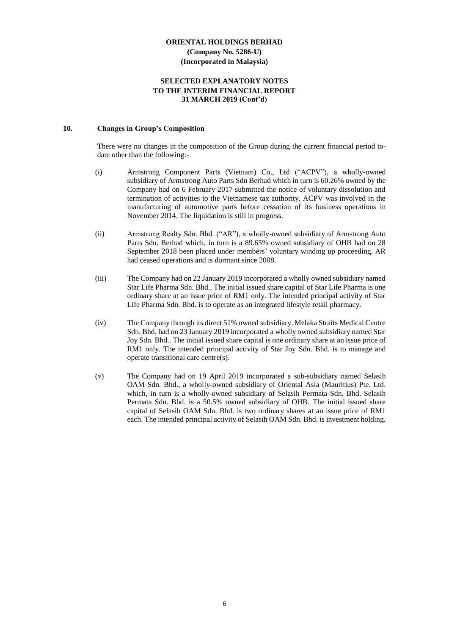#### **SELECTED EXPLANATORY NOTES TO THE INTERIM FINANCIAL REPORT 31 MARCH 2019 (Cont'd)**

#### **10. Changes in Group's Composition**

There were no changes in the composition of the Group during the current financial period todate other than the following:-

- (i) Armstrong Component Parts (Vietnam) Co., Ltd ("ACPV"), a wholly-owned subsidiary of Armstrong Auto Parts Sdn Berhad which in turn is 60.26% owned by the Company had on 6 February 2017 submitted the notice of voluntary dissolution and termination of activities to the Vietnamese tax authority. ACPV was involved in the manufacturing of automotive parts before cessation of its business operations in November 2014. The liquidation is still in progress.
- (ii) Armstrong Realty Sdn. Bhd. ("AR"), a wholly-owned subsidiary of Armstrong Auto Parts Sdn. Berhad which, in turn is a 89.65% owned subsidiary of OHB had on 28 September 2018 been placed under members' voluntary winding up proceeding. AR had ceased operations and is dormant since 2008.
- (iii) The Company had on 22 January 2019 incorporated a wholly owned subsidiary named Star Life Pharma Sdn. Bhd.. The initial issued share capital of Star Life Pharma is one ordinary share at an issue price of RM1 only. The intended principal activity of Star Life Pharma Sdn. Bhd. is to operate as an integrated lifestyle retail pharmacy.
- (iv) The Company through its direct 51% owned subsidiary, Melaka Straits Medical Centre Sdn. Bhd. had on 23 January 2019 incorporated a wholly owned subsidiary named Star Joy Sdn. Bhd.. The initial issued share capital is one ordinary share at an issue price of RM1 only. The intended principal activity of Star Joy Sdn. Bhd. is to manage and operate transitional care centre(s).
- (v) The Company had on 19 April 2019 incorporated a sub-subsidiary named Selasih OAM Sdn. Bhd., a wholly-owned subsidiary of Oriental Asia (Mauritius) Pte. Ltd. which, in turn is a wholly-owned subsidiary of Selasih Permata Sdn. Bhd. Selasih Permata Sdn. Bhd. is a 50.5% owned subsidiary of OHB. The initial issued share capital of Selasih OAM Sdn. Bhd. is two ordinary shares at an issue price of RM1 each. The intended principal activity of Selasih OAM Sdn. Bhd. is investment holding.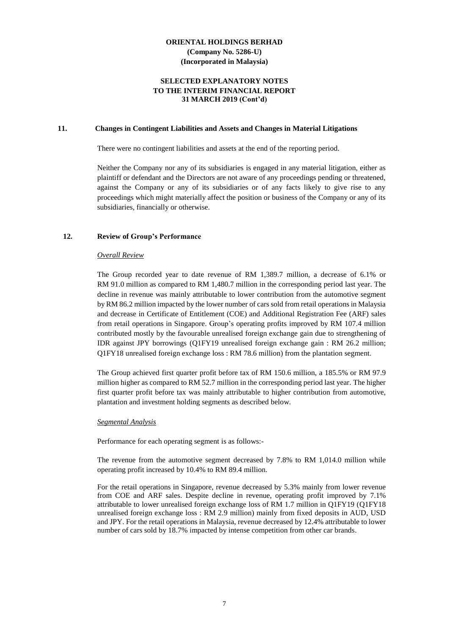#### **SELECTED EXPLANATORY NOTES TO THE INTERIM FINANCIAL REPORT 31 MARCH 2019 (Cont'd)**

#### **11. Changes in Contingent Liabilities and Assets and Changes in Material Litigations**

There were no contingent liabilities and assets at the end of the reporting period.

Neither the Company nor any of its subsidiaries is engaged in any material litigation, either as plaintiff or defendant and the Directors are not aware of any proceedings pending or threatened, against the Company or any of its subsidiaries or of any facts likely to give rise to any proceedings which might materially affect the position or business of the Company or any of its subsidiaries, financially or otherwise.

#### **12. Review of Group's Performance**

#### *Overall Review*

The Group recorded year to date revenue of RM 1,389.7 million, a decrease of 6.1% or RM 91.0 million as compared to RM 1,480.7 million in the corresponding period last year. The decline in revenue was mainly attributable to lower contribution from the automotive segment by RM 86.2 million impacted by the lower number of cars sold from retail operations in Malaysia and decrease in Certificate of Entitlement (COE) and Additional Registration Fee (ARF) sales from retail operations in Singapore. Group's operating profits improved by RM 107.4 million contributed mostly by the favourable unrealised foreign exchange gain due to strengthening of IDR against JPY borrowings (Q1FY19 unrealised foreign exchange gain : RM 26.2 million; Q1FY18 unrealised foreign exchange loss : RM 78.6 million) from the plantation segment.

The Group achieved first quarter profit before tax of RM 150.6 million, a 185.5% or RM 97.9 million higher as compared to RM 52.7 million in the corresponding period last year. The higher first quarter profit before tax was mainly attributable to higher contribution from automotive, plantation and investment holding segments as described below.

#### *Segmental Analysis*

Performance for each operating segment is as follows:-

The revenue from the automotive segment decreased by 7.8% to RM 1,014.0 million while operating profit increased by 10.4% to RM 89.4 million.

For the retail operations in Singapore, revenue decreased by 5.3% mainly from lower revenue from COE and ARF sales. Despite decline in revenue, operating profit improved by 7.1% attributable to lower unrealised foreign exchange loss of RM 1.7 million in Q1FY19 (Q1FY18 unrealised foreign exchange loss : RM 2.9 million) mainly from fixed deposits in AUD, USD and JPY. For the retail operations in Malaysia, revenue decreased by 12.4% attributable to lower number of cars sold by 18.7% impacted by intense competition from other car brands.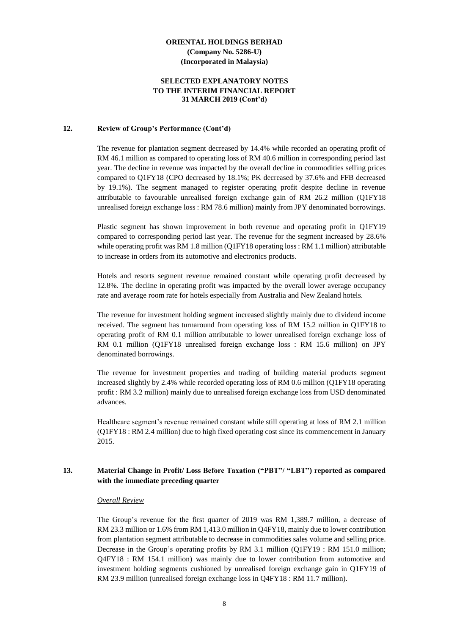#### **SELECTED EXPLANATORY NOTES TO THE INTERIM FINANCIAL REPORT 31 MARCH 2019 (Cont'd)**

#### **12. Review of Group's Performance (Cont'd)**

The revenue for plantation segment decreased by 14.4% while recorded an operating profit of RM 46.1 million as compared to operating loss of RM 40.6 million in corresponding period last year. The decline in revenue was impacted by the overall decline in commodities selling prices compared to Q1FY18 (CPO decreased by 18.1%; PK decreased by 37.6% and FFB decreased by 19.1%). The segment managed to register operating profit despite decline in revenue attributable to favourable unrealised foreign exchange gain of RM 26.2 million (Q1FY18 unrealised foreign exchange loss : RM 78.6 million) mainly from JPY denominated borrowings.

Plastic segment has shown improvement in both revenue and operating profit in Q1FY19 compared to corresponding period last year. The revenue for the segment increased by 28.6% while operating profit was RM 1.8 million (Q1FY18 operating loss : RM 1.1 million) attributable to increase in orders from its automotive and electronics products.

Hotels and resorts segment revenue remained constant while operating profit decreased by 12.8%. The decline in operating profit was impacted by the overall lower average occupancy rate and average room rate for hotels especially from Australia and New Zealand hotels.

The revenue for investment holding segment increased slightly mainly due to dividend income received. The segment has turnaround from operating loss of RM 15.2 million in Q1FY18 to operating profit of RM 0.1 million attributable to lower unrealised foreign exchange loss of RM 0.1 million (Q1FY18 unrealised foreign exchange loss : RM 15.6 million) on JPY denominated borrowings.

The revenue for investment properties and trading of building material products segment increased slightly by 2.4% while recorded operating loss of RM 0.6 million (Q1FY18 operating profit : RM 3.2 million) mainly due to unrealised foreign exchange loss from USD denominated advances.

Healthcare segment's revenue remained constant while still operating at loss of RM 2.1 million (Q1FY18 : RM 2.4 million) due to high fixed operating cost since its commencement in January 2015.

#### **13. Material Change in Profit/ Loss Before Taxation ("PBT"/ "LBT") reported as compared with the immediate preceding quarter**

#### *Overall Review*

The Group's revenue for the first quarter of 2019 was RM 1,389.7 million, a decrease of RM 23.3 million or 1.6% from RM 1,413.0 million in Q4FY18, mainly due to lower contribution from plantation segment attributable to decrease in commodities sales volume and selling price. Decrease in the Group's operating profits by RM 3.1 million (Q1FY19 : RM 151.0 million; Q4FY18 : RM 154.1 million) was mainly due to lower contribution from automotive and investment holding segments cushioned by unrealised foreign exchange gain in Q1FY19 of RM 23.9 million (unrealised foreign exchange loss in Q4FY18 : RM 11.7 million).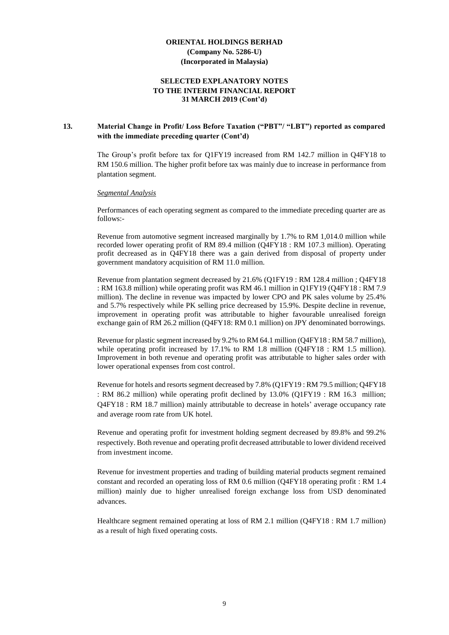#### **SELECTED EXPLANATORY NOTES TO THE INTERIM FINANCIAL REPORT 31 MARCH 2019 (Cont'd)**

#### **13. Material Change in Profit/ Loss Before Taxation ("PBT"/ "LBT") reported as compared with the immediate preceding quarter (Cont'd)**

The Group's profit before tax for Q1FY19 increased from RM 142.7 million in Q4FY18 to RM 150.6 million. The higher profit before tax was mainly due to increase in performance from plantation segment.

#### *Segmental Analysis*

Performances of each operating segment as compared to the immediate preceding quarter are as follows:-

Revenue from automotive segment increased marginally by 1.7% to RM 1,014.0 million while recorded lower operating profit of RM 89.4 million (Q4FY18 : RM 107.3 million). Operating profit decreased as in Q4FY18 there was a gain derived from disposal of property under government mandatory acquisition of RM 11.0 million.

Revenue from plantation segment decreased by 21.6% (Q1FY19 : RM 128.4 million ; Q4FY18 : RM 163.8 million) while operating profit was RM 46.1 million in Q1FY19 (Q4FY18 : RM 7.9 million). The decline in revenue was impacted by lower CPO and PK sales volume by 25.4% and 5.7% respectively while PK selling price decreased by 15.9%. Despite decline in revenue, improvement in operating profit was attributable to higher favourable unrealised foreign exchange gain of RM 26.2 million (Q4FY18: RM 0.1 million) on JPY denominated borrowings.

Revenue for plastic segment increased by 9.2% to RM 64.1 million (Q4FY18 : RM 58.7 million), while operating profit increased by 17.1% to RM 1.8 million (Q4FY18 : RM 1.5 million). Improvement in both revenue and operating profit was attributable to higher sales order with lower operational expenses from cost control.

Revenue for hotels and resorts segment decreased by 7.8% (Q1FY19 : RM 79.5 million; Q4FY18 : RM 86.2 million) while operating profit declined by 13.0% (Q1FY19 : RM 16.3 million; Q4FY18 : RM 18.7 million) mainly attributable to decrease in hotels' average occupancy rate and average room rate from UK hotel.

Revenue and operating profit for investment holding segment decreased by 89.8% and 99.2% respectively. Both revenue and operating profit decreased attributable to lower dividend received from investment income.

Revenue for investment properties and trading of building material products segment remained constant and recorded an operating loss of RM 0.6 million (Q4FY18 operating profit : RM 1.4 million) mainly due to higher unrealised foreign exchange loss from USD denominated advances.

Healthcare segment remained operating at loss of RM 2.1 million (Q4FY18 : RM 1.7 million) as a result of high fixed operating costs.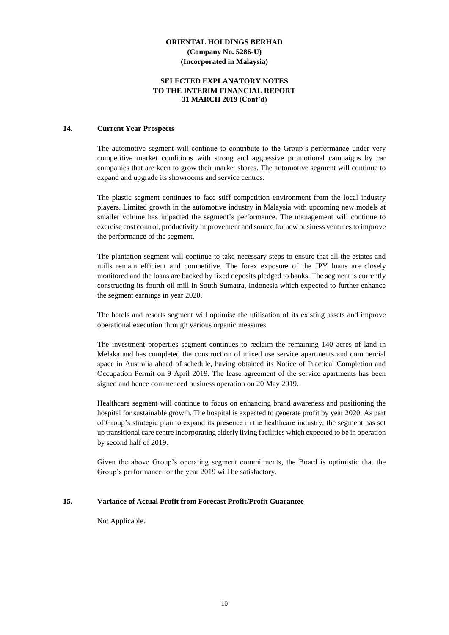#### **SELECTED EXPLANATORY NOTES TO THE INTERIM FINANCIAL REPORT 31 MARCH 2019 (Cont'd)**

#### **14. Current Year Prospects**

The automotive segment will continue to contribute to the Group's performance under very competitive market conditions with strong and aggressive promotional campaigns by car companies that are keen to grow their market shares. The automotive segment will continue to expand and upgrade its showrooms and service centres.

The plastic segment continues to face stiff competition environment from the local industry players. Limited growth in the automotive industry in Malaysia with upcoming new models at smaller volume has impacted the segment's performance. The management will continue to exercise cost control, productivity improvement and source for new business ventures to improve the performance of the segment.

The plantation segment will continue to take necessary steps to ensure that all the estates and mills remain efficient and competitive. The forex exposure of the JPY loans are closely monitored and the loans are backed by fixed deposits pledged to banks. The segment is currently constructing its fourth oil mill in South Sumatra, Indonesia which expected to further enhance the segment earnings in year 2020.

The hotels and resorts segment will optimise the utilisation of its existing assets and improve operational execution through various organic measures.

The investment properties segment continues to reclaim the remaining 140 acres of land in Melaka and has completed the construction of mixed use service apartments and commercial space in Australia ahead of schedule, having obtained its Notice of Practical Completion and Occupation Permit on 9 April 2019. The lease agreement of the service apartments has been signed and hence commenced business operation on 20 May 2019.

Healthcare segment will continue to focus on enhancing brand awareness and positioning the hospital for sustainable growth. The hospital is expected to generate profit by year 2020. As part of Group's strategic plan to expand its presence in the healthcare industry, the segment has set up transitional care centre incorporating elderly living facilities which expected to be in operation by second half of 2019.

Given the above Group's operating segment commitments, the Board is optimistic that the Group's performance for the year 2019 will be satisfactory.

#### **15. Variance of Actual Profit from Forecast Profit/Profit Guarantee**

Not Applicable.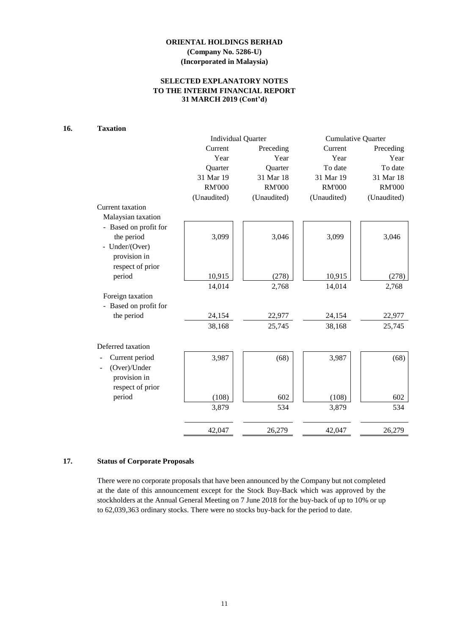## **SELECTED EXPLANATORY NOTES TO THE INTERIM FINANCIAL REPORT 31 MARCH 2019 (Cont'd)**

# **16. Taxation**

|                       | <b>Individual Quarter</b> |               | <b>Cumulative Quarter</b> |               |  |
|-----------------------|---------------------------|---------------|---------------------------|---------------|--|
|                       | Current                   | Preceding     | Current                   | Preceding     |  |
|                       | Year                      | Year          | Year                      | Year          |  |
|                       | Quarter                   | Quarter       | To date                   | To date       |  |
|                       | 31 Mar 19                 | 31 Mar 18     | 31 Mar 19                 | 31 Mar 18     |  |
|                       | <b>RM'000</b>             | <b>RM'000</b> | <b>RM'000</b>             | <b>RM'000</b> |  |
|                       | (Unaudited)               | (Unaudited)   | (Unaudited)               | (Unaudited)   |  |
| Current taxation      |                           |               |                           |               |  |
| Malaysian taxation    |                           |               |                           |               |  |
| - Based on profit for |                           |               |                           |               |  |
| the period            | 3,099                     | 3,046         | 3,099                     | 3,046         |  |
| - Under/(Over)        |                           |               |                           |               |  |
| provision in          |                           |               |                           |               |  |
| respect of prior      |                           |               |                           |               |  |
| period                | 10,915                    | (278)         | 10,915                    | (278)         |  |
|                       | 14,014                    | 2,768         | 14,014                    | 2,768         |  |
| Foreign taxation      |                           |               |                           |               |  |
| - Based on profit for |                           |               |                           |               |  |
| the period            | 24,154                    | 22,977        | 24,154                    | 22,977        |  |
|                       | 38,168                    | 25,745        | 38,168                    | 25,745        |  |
| Deferred taxation     |                           |               |                           |               |  |
| Current period        | 3,987                     | (68)          | 3,987                     | (68)          |  |
| (Over)/Under          |                           |               |                           |               |  |
| provision in          |                           |               |                           |               |  |
| respect of prior      |                           |               |                           |               |  |
| period                | (108)                     | 602           | (108)                     | 602           |  |
|                       | 3,879                     | 534           | 3,879                     | 534           |  |
|                       | 42,047                    | 26,279        | 42,047                    | 26,279        |  |
|                       |                           |               |                           |               |  |

# **17. Status of Corporate Proposals**

There were no corporate proposals that have been announced by the Company but not completed at the date of this announcement except for the Stock Buy-Back which was approved by the stockholders at the Annual General Meeting on 7 June 2018 for the buy-back of up to 10% or up to 62,039,363 ordinary stocks. There were no stocks buy-back for the period to date.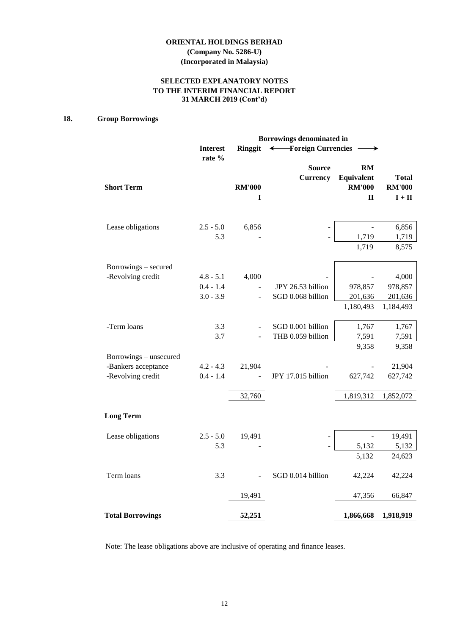**(Company No. 5286-U) (Incorporated in Malaysia)**

## **SELECTED EXPLANATORY NOTES TO THE INTERIM FINANCIAL REPORT 31 MARCH 2019 (Cont'd)**

## **18. Group Borrowings**

|                         |                           |                    | Borrowings denominated in        |                                                   |                                           |
|-------------------------|---------------------------|--------------------|----------------------------------|---------------------------------------------------|-------------------------------------------|
|                         | <b>Interest</b><br>rate % | <b>Ringgit</b>     | ← Foreign Currencies             |                                                   |                                           |
| <b>Short Term</b>       |                           | <b>RM'000</b><br>1 | <b>Source</b><br><b>Currency</b> | RM<br>Equivalent<br><b>RM'000</b><br>$\mathbf{I}$ | <b>Total</b><br><b>RM'000</b><br>$I + II$ |
| Lease obligations       | $2.5 - 5.0$               | 6,856              |                                  |                                                   | 6,856                                     |
|                         | 5.3                       |                    |                                  | 1,719<br>1,719                                    | 1,719<br>8,575                            |
| Borrowings – secured    |                           |                    |                                  |                                                   |                                           |
| -Revolving credit       | $4.8 - 5.1$               | 4,000              |                                  |                                                   | 4,000                                     |
|                         | $0.4 - 1.4$               |                    | JPY 26.53 billion                | 978,857                                           | 978,857                                   |
|                         | $3.0 - 3.9$               |                    | SGD 0.068 billion                | 201,636                                           | 201,636                                   |
|                         |                           |                    |                                  | 1,180,493                                         | 1,184,493                                 |
| -Term loans             | 3.3                       |                    | SGD 0.001 billion                | 1,767                                             | 1,767                                     |
|                         | 3.7                       |                    | THB 0.059 billion                | 7,591                                             | 7,591                                     |
| Borrowings – unsecured  |                           |                    |                                  | 9,358                                             | 9,358                                     |
| -Bankers acceptance     | $4.2 - 4.3$               | 21,904             |                                  |                                                   | 21,904                                    |
| -Revolving credit       | $0.4 - 1.4$               |                    | JPY 17.015 billion               | 627,742                                           | 627,742                                   |
|                         |                           | 32,760             |                                  | 1,819,312                                         | 1,852,072                                 |
| <b>Long Term</b>        |                           |                    |                                  |                                                   |                                           |
| Lease obligations       | $2.5 - 5.0$               | 19,491             |                                  |                                                   | 19,491                                    |
|                         | 5.3                       |                    |                                  | 5,132                                             | 5,132                                     |
|                         |                           |                    |                                  | 5,132                                             | 24,623                                    |
| Term loans              | 3.3                       |                    | SGD 0.014 billion                | 42,224                                            | 42,224                                    |
|                         |                           | 19,491             |                                  | 47,356                                            | 66,847                                    |
| <b>Total Borrowings</b> |                           | 52,251             |                                  | 1,866,668                                         | 1,918,919                                 |

Note: The lease obligations above are inclusive of operating and finance leases.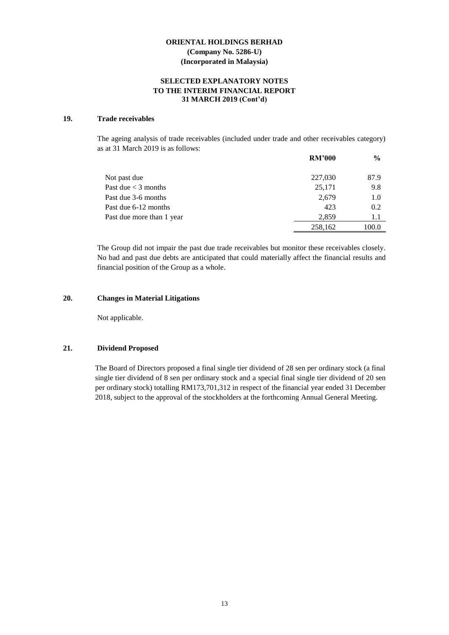#### **SELECTED EXPLANATORY NOTES TO THE INTERIM FINANCIAL REPORT 31 MARCH 2019 (Cont'd)**

#### **19. Trade receivables**

The ageing analysis of trade receivables (included under trade and other receivables category) as at 31 March 2019 is as follows:

|                           | <b>RM'000</b> | $\frac{6}{9}$ |
|---------------------------|---------------|---------------|
| Not past due              | 227,030       | 87.9          |
| Past due $<$ 3 months     | 25,171        | 9.8           |
| Past due 3-6 months       | 2,679         | 1.0           |
| Past due 6-12 months      | 423           | 0.2           |
| Past due more than 1 year | 2.859         | 1.1           |
|                           | 258,162       | 100.0         |

The Group did not impair the past due trade receivables but monitor these receivables closely. No bad and past due debts are anticipated that could materially affect the financial results and financial position of the Group as a whole.

#### **20. Changes in Material Litigations**

Not applicable.

#### **21. Dividend Proposed**

The Board of Directors proposed a final single tier dividend of 28 sen per ordinary stock (a final single tier dividend of 8 sen per ordinary stock and a special final single tier dividend of 20 sen per ordinary stock) totalling RM173,701,312 in respect of the financial year ended 31 December 2018, subject to the approval of the stockholders at the forthcoming Annual General Meeting.